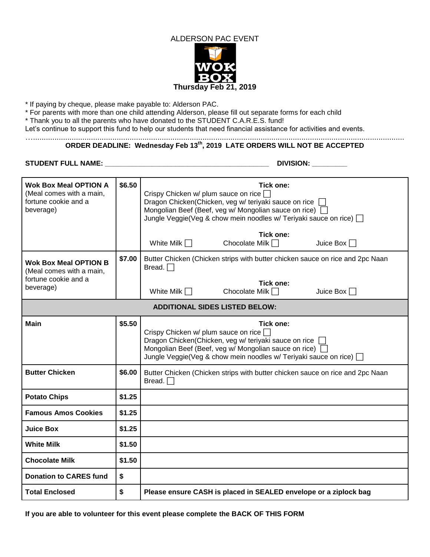

\* If paying by cheque, please make payable to: Alderson PAC.

\* For parents with more than one child attending Alderson, please fill out separate forms for each child

\* Thank you to all the parents who have donated to the STUDENT C.A.R.E.S. fund!

Let's continue to support this fund to help our students that need financial assistance for activities and events. ….............................................................................................................................................................................

## **ORDER DEADLINE: Wednesday Feb 13th, 2019 LATE ORDERS WILL NOT BE ACCEPTED**

**STUDENT FULL NAME: \_\_\_\_\_\_\_\_\_\_\_\_\_\_\_\_\_\_\_\_\_\_\_\_\_\_\_\_\_\_\_\_\_\_\_\_\_\_\_\_\_\_ DIVISION: \_\_\_\_\_\_\_\_\_**

| <b>Wok Box Meal OPTION A</b><br>(Meal comes with a main,<br>fortune cookie and a<br>beverage) | \$6.50 | Tick one:<br>Crispy Chicken w/ plum sauce on rice<br>Dragon Chicken(Chicken, veg w/ teriyaki sauce on rice<br>Mongolian Beef (Beef, veg w/ Mongolian sauce on rice)<br>Jungle Veggie(Veg & chow mein noodles w/ Teriyaki sauce on rice) $\Box$             |  |  |
|-----------------------------------------------------------------------------------------------|--------|------------------------------------------------------------------------------------------------------------------------------------------------------------------------------------------------------------------------------------------------------------|--|--|
|                                                                                               |        | Tick one:<br>Chocolate Milk $\Box$<br>White Milk $\Box$<br>Juice Box $\Box$                                                                                                                                                                                |  |  |
| <b>Wok Box Meal OPTION B</b><br>(Meal comes with a main,<br>fortune cookie and a<br>beverage) | \$7.00 | Butter Chicken (Chicken strips with butter chicken sauce on rice and 2pc Naan<br>Bread. $\Box$                                                                                                                                                             |  |  |
|                                                                                               |        | Tick one:<br>White Milk $\Box$<br>Chocolate Milk $\Box$<br>Juice Box $\Box$                                                                                                                                                                                |  |  |
| <b>ADDITIONAL SIDES LISTED BELOW:</b>                                                         |        |                                                                                                                                                                                                                                                            |  |  |
| <b>Main</b>                                                                                   | \$5.50 | <b>Tick one:</b><br>Crispy Chicken w/ plum sauce on rice<br>Dragon Chicken (Chicken, veg w/ teriyaki sauce on rice  <br>Mongolian Beef (Beef, veg w/ Mongolian sauce on rice)  <br>Jungle Veggie(Veg & chow mein noodles w/ Teriyaki sauce on rice) $\Box$ |  |  |
| <b>Butter Chicken</b>                                                                         | \$6.00 | Butter Chicken (Chicken strips with butter chicken sauce on rice and 2pc Naan<br>Bread. $\Box$                                                                                                                                                             |  |  |
| <b>Potato Chips</b>                                                                           | \$1.25 |                                                                                                                                                                                                                                                            |  |  |
| <b>Famous Amos Cookies</b>                                                                    | \$1.25 |                                                                                                                                                                                                                                                            |  |  |
| <b>Juice Box</b>                                                                              | \$1.25 |                                                                                                                                                                                                                                                            |  |  |
| <b>White Milk</b>                                                                             | \$1.50 |                                                                                                                                                                                                                                                            |  |  |
| <b>Chocolate Milk</b>                                                                         | \$1.50 |                                                                                                                                                                                                                                                            |  |  |
| <b>Donation to CARES fund</b>                                                                 | \$     |                                                                                                                                                                                                                                                            |  |  |
| <b>Total Enclosed</b>                                                                         | \$     | Please ensure CASH is placed in SEALED envelope or a ziplock bag                                                                                                                                                                                           |  |  |

**If you are able to volunteer for this event please complete the BACK OF THIS FORM**